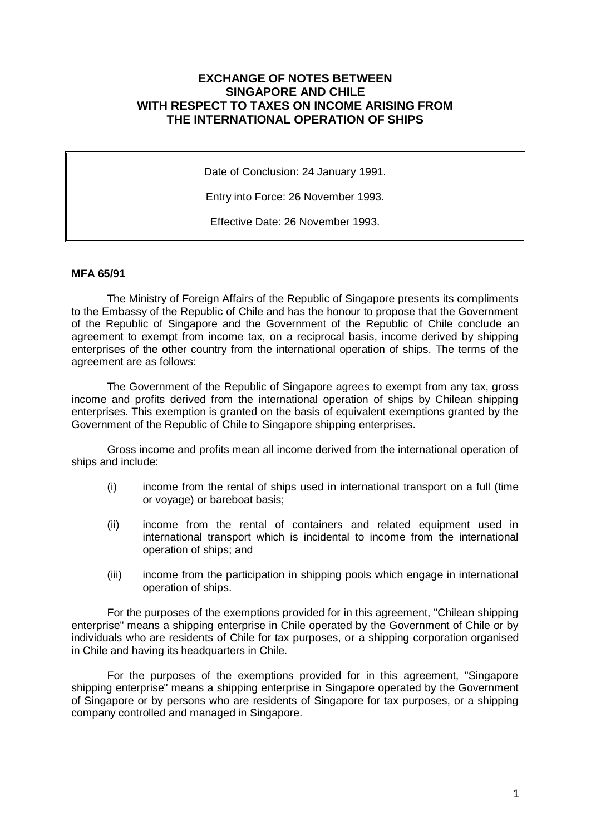## **EXCHANGE OF NOTES BETWEEN SINGAPORE AND CHILE WITH RESPECT TO TAXES ON INCOME ARISING FROM THE INTERNATIONAL OPERATION OF SHIPS**

Date of Conclusion: 24 January 1991.

Entry into Force: 26 November 1993.

Effective Date: 26 November 1993.

## **MFA 65/91**

The Ministry of Foreign Affairs of the Republic of Singapore presents its compliments to the Embassy of the Republic of Chile and has the honour to propose that the Government of the Republic of Singapore and the Government of the Republic of Chile conclude an agreement to exempt from income tax, on a reciprocal basis, income derived by shipping enterprises of the other country from the international operation of ships. The terms of the agreement are as follows:

The Government of the Republic of Singapore agrees to exempt from any tax, gross income and profits derived from the international operation of ships by Chilean shipping enterprises. This exemption is granted on the basis of equivalent exemptions granted by the Government of the Republic of Chile to Singapore shipping enterprises.

Gross income and profits mean all income derived from the international operation of ships and include:

- (i) income from the rental of ships used in international transport on a full (time or voyage) or bareboat basis;
- (ii) income from the rental of containers and related equipment used in international transport which is incidental to income from the international operation of ships; and
- (iii) income from the participation in shipping pools which engage in international operation of ships.

For the purposes of the exemptions provided for in this agreement, "Chilean shipping enterprise" means a shipping enterprise in Chile operated by the Government of Chile or by individuals who are residents of Chile for tax purposes, or a shipping corporation organised in Chile and having its headquarters in Chile.

For the purposes of the exemptions provided for in this agreement, "Singapore shipping enterprise" means a shipping enterprise in Singapore operated by the Government of Singapore or by persons who are residents of Singapore for tax purposes, or a shipping company controlled and managed in Singapore.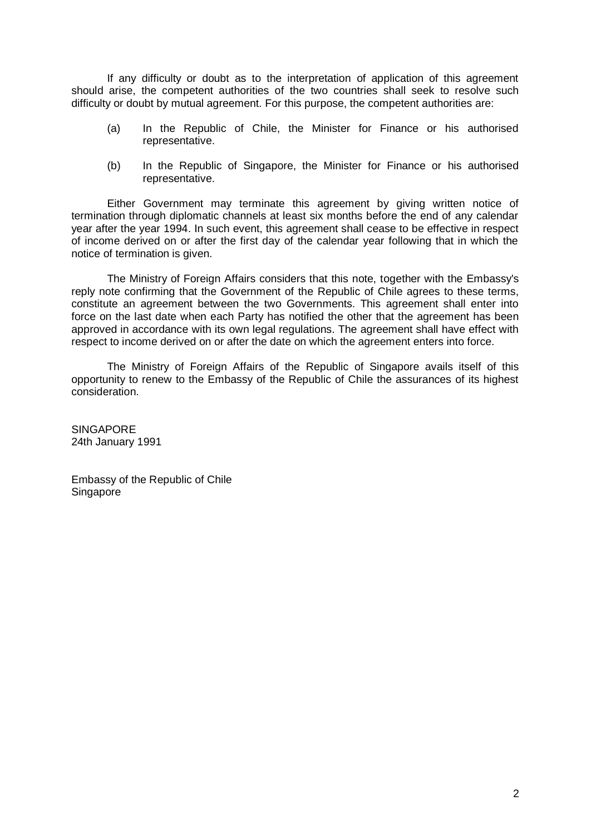If any difficulty or doubt as to the interpretation of application of this agreement should arise, the competent authorities of the two countries shall seek to resolve such difficulty or doubt by mutual agreement. For this purpose, the competent authorities are:

- (a) In the Republic of Chile, the Minister for Finance or his authorised representative.
- (b) In the Republic of Singapore, the Minister for Finance or his authorised representative.

Either Government may terminate this agreement by giving written notice of termination through diplomatic channels at least six months before the end of any calendar year after the year 1994. In such event, this agreement shall cease to be effective in respect of income derived on or after the first day of the calendar year following that in which the notice of termination is given.

The Ministry of Foreign Affairs considers that this note, together with the Embassy's reply note confirming that the Government of the Republic of Chile agrees to these terms, constitute an agreement between the two Governments. This agreement shall enter into force on the last date when each Party has notified the other that the agreement has been approved in accordance with its own legal regulations. The agreement shall have effect with respect to income derived on or after the date on which the agreement enters into force.

The Ministry of Foreign Affairs of the Republic of Singapore avails itself of this opportunity to renew to the Embassy of the Republic of Chile the assurances of its highest consideration.

**SINGAPORE** 24th January 1991

Embassy of the Republic of Chile Singapore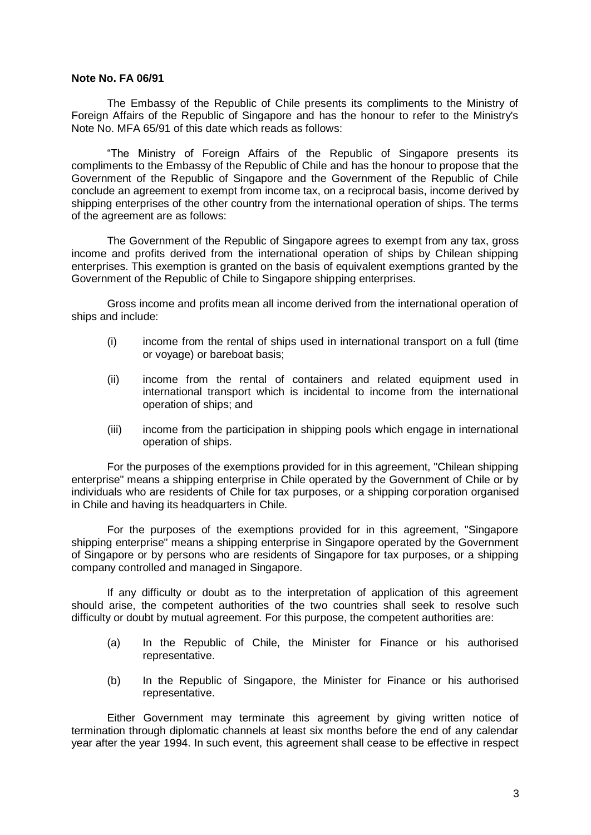## **Note No. FA 06/91**

The Embassy of the Republic of Chile presents its compliments to the Ministry of Foreign Affairs of the Republic of Singapore and has the honour to refer to the Ministry's Note No. MFA 65/91 of this date which reads as follows:

"The Ministry of Foreign Affairs of the Republic of Singapore presents its compliments to the Embassy of the Republic of Chile and has the honour to propose that the Government of the Republic of Singapore and the Government of the Republic of Chile conclude an agreement to exempt from income tax, on a reciprocal basis, income derived by shipping enterprises of the other country from the international operation of ships. The terms of the agreement are as follows:

The Government of the Republic of Singapore agrees to exempt from any tax, gross income and profits derived from the international operation of ships by Chilean shipping enterprises. This exemption is granted on the basis of equivalent exemptions granted by the Government of the Republic of Chile to Singapore shipping enterprises.

Gross income and profits mean all income derived from the international operation of ships and include:

- (i) income from the rental of ships used in international transport on a full (time or voyage) or bareboat basis;
- (ii) income from the rental of containers and related equipment used in international transport which is incidental to income from the international operation of ships; and
- (iii) income from the participation in shipping pools which engage in international operation of ships.

For the purposes of the exemptions provided for in this agreement, "Chilean shipping enterprise" means a shipping enterprise in Chile operated by the Government of Chile or by individuals who are residents of Chile for tax purposes, or a shipping corporation organised in Chile and having its headquarters in Chile.

For the purposes of the exemptions provided for in this agreement, "Singapore shipping enterprise" means a shipping enterprise in Singapore operated by the Government of Singapore or by persons who are residents of Singapore for tax purposes, or a shipping company controlled and managed in Singapore.

If any difficulty or doubt as to the interpretation of application of this agreement should arise, the competent authorities of the two countries shall seek to resolve such difficulty or doubt by mutual agreement. For this purpose, the competent authorities are:

- (a) In the Republic of Chile, the Minister for Finance or his authorised representative.
- (b) In the Republic of Singapore, the Minister for Finance or his authorised representative.

Either Government may terminate this agreement by giving written notice of termination through diplomatic channels at least six months before the end of any calendar year after the year 1994. In such event, this agreement shall cease to be effective in respect